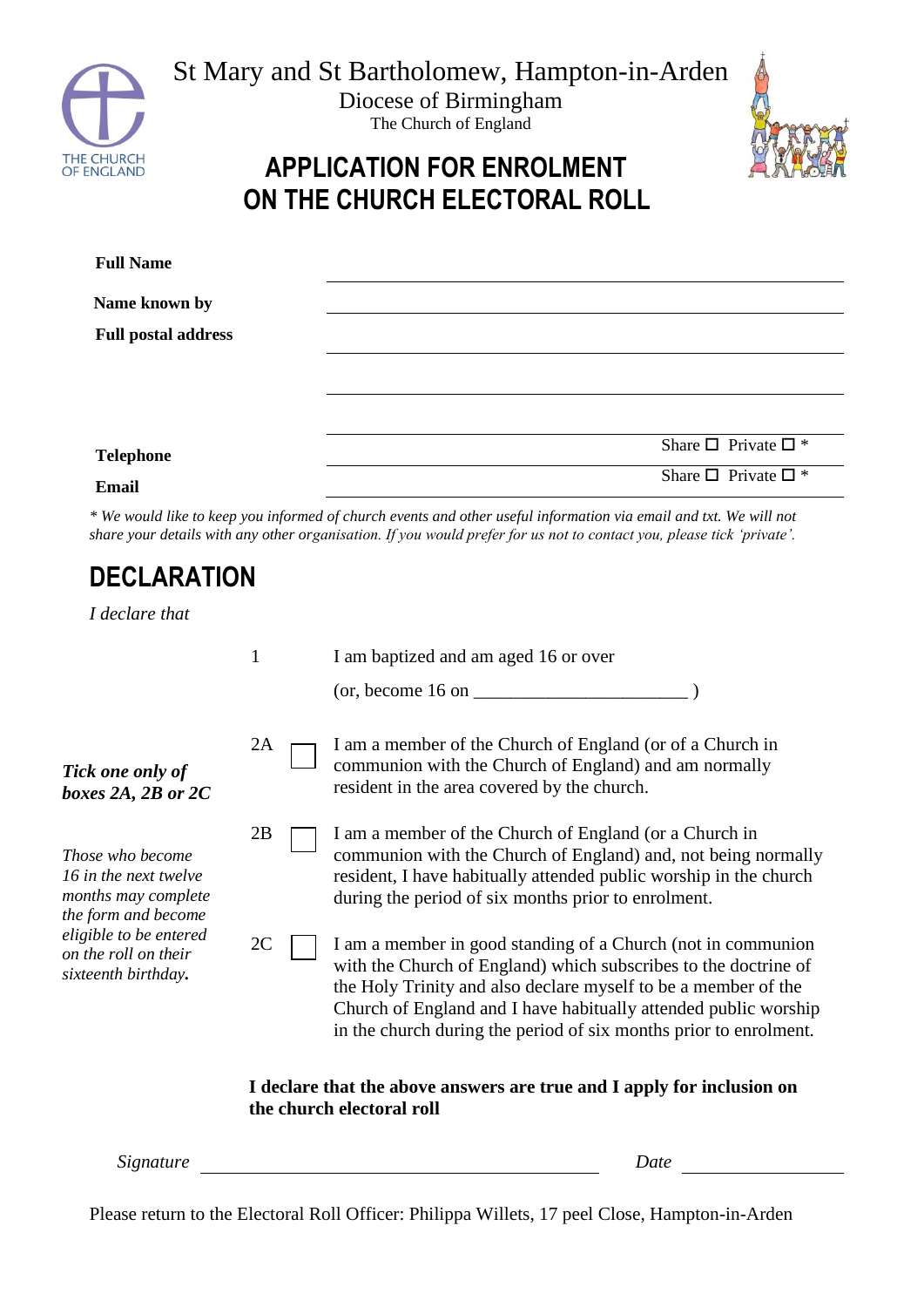

St Mary and St Bartholomew, Hampton-in-Arden

Diocese of Birmingham The Church of England



## **APPLICATION FOR ENROLMENT ON THE CHURCH ELECTORAL ROLL**

| <b>Full Name</b>           |                                     |
|----------------------------|-------------------------------------|
| Name known by              |                                     |
| <b>Full postal address</b> |                                     |
|                            |                                     |
|                            |                                     |
| <b>Telephone</b>           | Share $\square$ Private $\square$ * |
| <b>Email</b>               | Share $\square$ Private $\square$ * |

*\* We would like to keep you informed of church events and other useful information via email and txt. We will not share your details with any other organisation. If you would prefer for us not to contact you, please tick 'private'.*

## **DECLARATION**

*I declare that*

|                                                                                                                                                                         | $\mathbf{1}$ |                                                                                                     | I am baptized and am aged 16 or over                                                                                                                                                                                                                                                                                                      |
|-------------------------------------------------------------------------------------------------------------------------------------------------------------------------|--------------|-----------------------------------------------------------------------------------------------------|-------------------------------------------------------------------------------------------------------------------------------------------------------------------------------------------------------------------------------------------------------------------------------------------------------------------------------------------|
|                                                                                                                                                                         |              |                                                                                                     | $($ or, become 16 on $\sqrt{2}$                                                                                                                                                                                                                                                                                                           |
| Tick one only of<br>boxes 2A, 2B or $2C$                                                                                                                                | 2A           |                                                                                                     | I am a member of the Church of England (or of a Church in<br>communion with the Church of England) and am normally<br>resident in the area covered by the church.                                                                                                                                                                         |
| <i>Those who become</i><br>16 in the next twelve<br>months may complete<br>the form and become<br>eligible to be entered<br>on the roll on their<br>sixteenth birthday. | 2B           |                                                                                                     | I am a member of the Church of England (or a Church in<br>communion with the Church of England) and, not being normally<br>resident, I have habitually attended public worship in the church<br>during the period of six months prior to enrolment.                                                                                       |
|                                                                                                                                                                         | 2C           |                                                                                                     | I am a member in good standing of a Church (not in communion<br>with the Church of England) which subscribes to the doctrine of<br>the Holy Trinity and also declare myself to be a member of the<br>Church of England and I have habitually attended public worship<br>in the church during the period of six months prior to enrolment. |
|                                                                                                                                                                         |              | I declare that the above answers are true and I apply for inclusion on<br>the church electoral roll |                                                                                                                                                                                                                                                                                                                                           |

*Signature Date*

Please return to the Electoral Roll Officer: Philippa Willets, 17 peel Close, Hampton-in-Arden